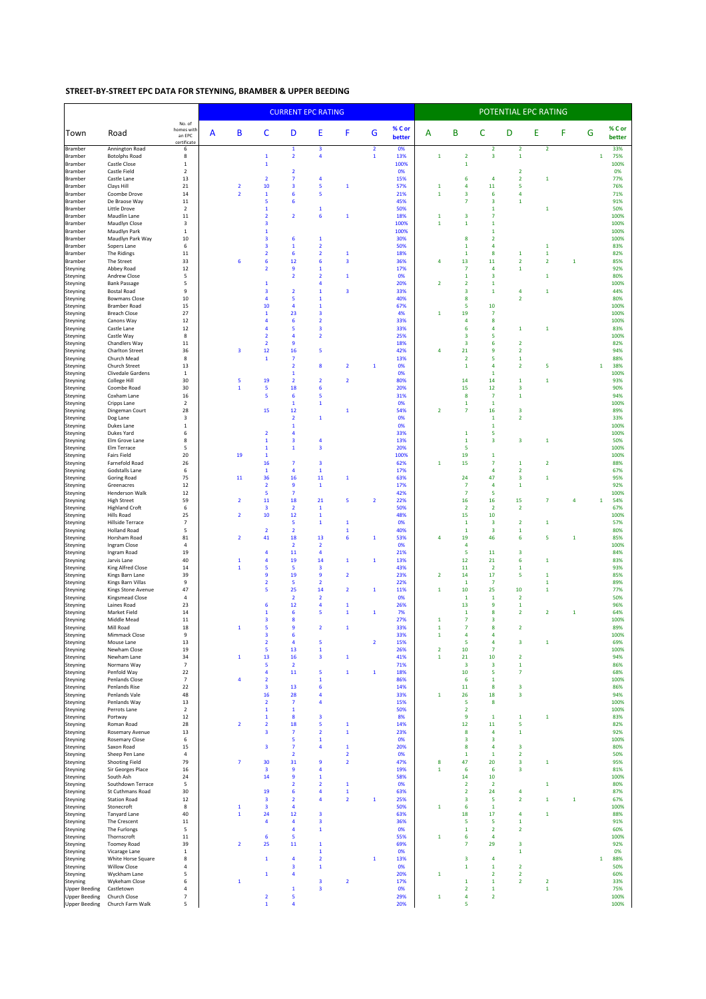## STREET-BY-STREET EPC DATA FOR STEYNING, BRAMBER & UPPER BEEDING

|                                              |                                            |                                               |   |                         |                                                    | <b>CURRENT EPC RATING</b>                 |                                         |                                        |                                | POTENTIAL EPC RATING |                              |                                                    |                                         |                                                    |                         |   |              |              |                  |
|----------------------------------------------|--------------------------------------------|-----------------------------------------------|---|-------------------------|----------------------------------------------------|-------------------------------------------|-----------------------------------------|----------------------------------------|--------------------------------|----------------------|------------------------------|----------------------------------------------------|-----------------------------------------|----------------------------------------------------|-------------------------|---|--------------|--------------|------------------|
| Town                                         | Road                                       | No. of<br>homes with<br>an EPC<br>certificate | A | B                       | с                                                  | D                                         | Ε                                       | F                                      | G                              | % C or<br>better     | A                            | B                                                  | C                                       | D                                                  | E                       | F | G            |              | % C or<br>better |
| Bramber<br>Bramber                           | Annington Road<br><b>Botolphs Road</b>     | 6<br>8                                        |   |                         | $\mathbf 1$                                        | $\mathbf 1$<br>$\overline{2}$             | 3<br>4                                  |                                        | $\overline{2}$<br>$\mathbf{1}$ | 0%<br>13%            | $\mathbf 1$                  | $\overline{\mathbf{2}}$                            | 2<br>$\overline{\mathbf{3}}$            | $\overline{\mathbf{2}}$<br>$\mathbf 1$             | $\overline{\mathbf{2}}$ |   |              | $\mathbf{1}$ | 33%<br>75%       |
| <b>Bramber</b>                               | Castle Close                               | $\mathbf{1}$                                  |   |                         | $\mathbf 1$                                        |                                           |                                         |                                        |                                | 100%                 |                              | $\mathbf 1$                                        |                                         |                                                    |                         |   |              |              | 100%             |
| Bramber<br><b>Bramber</b>                    | Castle Field<br>Castle Lane                | $\overline{2}$<br>13                          |   |                         | $\overline{\mathbf{2}}$                            | $\overline{2}$<br>$\overline{\mathbf{7}}$ | 4                                       |                                        |                                | 0%<br>15%            |                              | $\epsilon$                                         | 4                                       | $\overline{\mathbf{2}}$<br>$\overline{\mathbf{2}}$ | $\mathbf{1}$            |   |              |              | 0%<br>77%        |
| Bramber                                      | Clays Hill                                 | 21                                            |   | $\overline{2}$          | 10                                                 | 3                                         | 5                                       | $\mathbf{1}$                           |                                | 57%                  | $\mathbf{1}$                 | 4                                                  | 11                                      | 5                                                  |                         |   |              |              | 76%              |
| Bramber<br>Bramber                           | Coombe Drove<br>De Braose Way              | 14<br>11                                      |   | $\overline{2}$          | $\mathbf 1$<br>5                                   | $\boldsymbol{6}$<br>6                     | 5                                       |                                        |                                | 21%<br>45%           | $\mathbf 1$                  | 3<br>$\overline{7}$                                | $6\phantom{1}6$<br>3                    | 4<br>$\mathbf 1$                                   |                         |   |              |              | 71%<br>91%       |
| Bramber                                      | Little Drove                               | $\overline{2}$                                |   |                         | $\mathbf{1}$                                       |                                           | $\mathbf{1}$                            |                                        |                                | 50%                  |                              |                                                    | $\mathbf{1}$                            |                                                    | 1                       |   |              |              | 50%              |
| Bramber<br>Bramber                           | Maudlin Lane<br>Maudlyn Close              | $11\,$<br>3                                   |   |                         | $\overline{\mathbf{2}}$<br>$\overline{\mathbf{3}}$ | $\overline{\mathbf{2}}$                   | 6                                       | $\mathbf{1}$                           |                                | 18%<br>100%          | $\mathbf{1}$<br>$\mathbf{1}$ | 3<br>$\mathbf{1}$                                  | $\overline{7}$<br>$\mathbf 1$           |                                                    |                         |   |              |              | 100%<br>100%     |
| Bramber                                      | Maudlyn Park                               | $\mathbf 1$                                   |   |                         | $\mathbf{1}$                                       |                                           |                                         |                                        |                                | 100%                 |                              |                                                    | $\mathbf{1}$                            |                                                    |                         |   |              |              | 100%             |
| <b>Bramber</b><br>Bramber                    | Maudlyn Park Way<br>Sopers Lane            | 10<br>6                                       |   |                         | $\overline{\mathbf{3}}$<br>$\overline{\mathbf{3}}$ | 6<br>$\mathbf 1$                          | $\mathbf{1}$<br>$\overline{\mathbf{2}}$ |                                        |                                | 30%<br>50%           |                              | 8<br>$\mathbf{1}$                                  | $\overline{2}$<br>4                     |                                                    | $\mathbf{1}$            |   |              |              | 100%<br>83%      |
| Bramber                                      | The Ridings                                | $11\,$                                        |   |                         | $\overline{\mathbf{2}}$                            | $\boldsymbol{6}$                          | $\overline{\mathbf{2}}$                 | $\mathbf 1$                            |                                | 18%                  |                              | $\mathbf{1}$                                       | $\bf8$                                  | $\mathbf{1}$                                       | $\mathbf 1$             |   |              |              | 82%              |
| Bramber<br>Steyning                          | The Street<br>Abbey Road                   | 33<br>12                                      |   | 6                       | $6\phantom{1}6$<br>$\overline{2}$                  | 12<br>9                                   | 6<br>$\mathbf{1}$                       | 3                                      |                                | 36%<br>17%           | 4                            | 13<br>$\overline{7}$                               | 11<br>4                                 | $\overline{2}$<br>$\mathbf 1$                      | $\overline{2}$          |   | $\mathbf{1}$ |              | 85%<br>92%       |
| Steyning                                     | Andrew Close                               | $\overline{5}$                                |   |                         |                                                    | $\overline{2}$                            | $\overline{2}$                          | $\mathbf{1}$                           |                                | 0%                   |                              | $\mathbf 1$                                        | 3                                       |                                                    | $\mathbf{1}$            |   |              |              | 80%              |
| Steyning<br>Steyning                         | <b>Bank Passage</b><br><b>Bostal Road</b>  | 5<br>$\boldsymbol{9}$                         |   |                         | $\mathbf{1}$<br>3                                  | $\overline{\mathbf{2}}$                   | 4<br>$\mathbf{1}$                       | 3                                      |                                | 20%<br>33%           | $\overline{2}$               | $\overline{\mathbf{2}}$<br>$\overline{\mathbf{3}}$ | $\mathbf 1$<br>1                        | 4                                                  | $\mathbf{1}$            |   |              |              | 100%<br>44%      |
| Steyning                                     | <b>Bowmans Close</b>                       | 10                                            |   |                         | $\overline{a}$                                     | 5                                         | $\mathbf{1}$                            |                                        |                                | 40%                  |                              | 8                                                  |                                         | $\overline{\mathbf{2}}$                            |                         |   |              |              | 80%              |
| Steyning                                     | <b>Bramber Road</b><br><b>Breach Close</b> | 15<br>27                                      |   |                         | 10<br>$\mathbf{1}$                                 | $\overline{\mathbf{4}}$<br>23             | $\mathbf{1}$<br>3                       |                                        |                                | 67%<br>4%            | $\mathbf 1$                  | 5<br>19                                            | 10<br>$\overline{7}$                    |                                                    |                         |   |              |              | 100%<br>100%     |
| Steyning<br>Steyning                         | Canons Way                                 | 12                                            |   |                         | $\overline{4}$                                     | $\boldsymbol{6}$                          | $\mathbf 2$                             |                                        |                                | 33%                  |                              | 4                                                  | 8                                       |                                                    |                         |   |              |              | 100%             |
| Steyning                                     | Castle Lane                                | 12                                            |   |                         | $\overline{4}$                                     | 5                                         | 3                                       |                                        |                                | 33%                  |                              | 6                                                  | 4                                       | $\mathbf{1}$                                       | 1                       |   |              |              | 83%              |
| Steyning<br>Steyning                         | Castle Way<br>Chandlers Way                | 8<br>$11\,$                                   |   |                         | $\overline{\mathbf{2}}$<br>$\overline{\mathbf{2}}$ | 4<br>$\boldsymbol{9}$                     | $\overline{\mathbf{2}}$                 |                                        |                                | 25%<br>18%           |                              | 3<br>3                                             | 5<br>6                                  | $\overline{\mathbf{2}}$                            |                         |   |              |              | 100%<br>82%      |
| Steyning                                     | <b>Charlton Street</b>                     | 36                                            |   | 3                       | 12                                                 | 16                                        | 5                                       |                                        |                                | 42%                  | 4                            | 21                                                 | $\overline{9}$                          | $\overline{2}$                                     |                         |   |              |              | 94%              |
| Steyning<br>Steyning                         | Church Mead<br>Church Street               | 8<br>13                                       |   |                         | $\mathbf 1$                                        | $\overline{7}$<br>$\overline{\mathbf{2}}$ | 8                                       | $\overline{\mathbf{2}}$                | $\mathbf{1}$                   | 13%<br>0%            |                              | $\overline{2}$<br>$\mathbf{1}$                     | 5<br>4                                  | $\mathbf 1$<br>$\overline{2}$                      | 5                       |   |              | $\mathbf{1}$ | 88%<br>38%       |
| Steyning                                     | Clivedale Gardens                          | $1\,$                                         |   |                         |                                                    | $\mathbf 1$                               |                                         |                                        |                                | 0%                   |                              |                                                    | $\mathbf{1}$                            |                                                    |                         |   |              |              | 100%             |
| Steyning<br>Steyning                         | College Hill<br>Coombe Road                | 30<br>30                                      |   | 5<br>$\mathbf{1}$       | 19<br>5                                            | $\overline{2}$<br>18                      | $\overline{2}$<br>6                     | $\overline{2}$                         |                                | 80%<br>20%           |                              | 14<br>15                                           | 14<br>12                                | $\mathbf 1$<br>3                                   | $\mathbf{1}$            |   |              |              | 93%<br>90%       |
| Steyning                                     | Coxham Lane                                | 16                                            |   |                         | 5                                                  | $\boldsymbol{6}$                          | 5                                       |                                        |                                | 31%                  |                              | 8                                                  | $\overline{7}$                          | $\mathbf 1$                                        |                         |   |              |              | 94%              |
| Steyning<br>Steyning                         | Cripps Lane<br>Dingeman Court              | $\overline{2}$<br>28                          |   |                         | 15                                                 | $\mathbf{1}$<br>12                        | $\mathbf{1}$                            | 1                                      |                                | 0%<br>54%            | $\overline{2}$               | $\mathbf{1}$<br>$\overline{7}$                     | $\mathbf{1}$<br>16                      | 3                                                  |                         |   |              |              | 100%<br>89%      |
| Steyning                                     | Dog Lane                                   | $\overline{\mathbf{3}}$                       |   |                         |                                                    | $\overline{2}$                            | $\mathbf{1}$                            |                                        |                                | 0%                   |                              |                                                    | $\mathbf 1$                             | $\overline{2}$                                     |                         |   |              |              | 33%              |
| Steyning<br>Steyning                         | Dukes Lane<br>Dukes Yard                   | $\mathbf{1}$<br>6                             |   |                         | $\overline{2}$                                     | $\mathbf 1$<br>$\overline{4}$             |                                         |                                        |                                | 0%<br>33%            |                              | $\mathbf{1}$                                       | $\mathbf{1}$<br>5                       |                                                    |                         |   |              |              | 100%<br>100%     |
| Steyning                                     | Elm Grove Lane                             | 8                                             |   |                         | $\mathbf{1}$                                       | 3                                         | 4                                       |                                        |                                | 13%                  |                              | $\mathbf{1}$                                       | 3                                       | $\mathbf 3$                                        | 1                       |   |              |              | 50%              |
| Steyning<br>Steyning                         | Elm Terrace<br><b>Fairs Field</b>          | 5<br>20                                       |   | 19                      | $\mathbf 1$<br>$\mathbf 1$                         | $\mathbf 1$                               | 3                                       |                                        |                                | 20%<br>100%          |                              | 5<br>19                                            | $\mathbf{1}$                            |                                                    |                         |   |              |              | 100%<br>100%     |
| Steyning                                     | Farnefold Road                             | 26                                            |   |                         | 16                                                 | $\overline{7}$                            | 3                                       |                                        |                                | 62%                  | $\mathbf 1$                  | 15                                                 | $\overline{7}$                          | $\mathbf 1$                                        | $\overline{2}$          |   |              |              | 88%              |
| Steyning<br>Steyning                         | Godstalls Lane<br>Goring Road              | 6<br>75                                       |   | 11                      | $\mathbf 1$<br>36                                  | 4<br>16                                   | $\mathbf 1$<br>11                       | $\mathbf{1}$                           |                                | 17%<br>63%           |                              | 24                                                 | 4<br>47                                 | $\overline{\mathbf{2}}$<br>3                       | 1                       |   |              |              | 67%<br>95%       |
| Steyning                                     | Greenacres                                 | 12                                            |   |                         | $\overline{\mathbf{2}}$                            | 9                                         | $\mathbf 1$                             |                                        |                                | 17%                  |                              | $\overline{7}$                                     | 4                                       | $\mathbf 1$                                        |                         |   |              |              | 92%              |
| Steyning<br>Steyning                         | Henderson Walk<br><b>High Street</b>       | 12<br>59                                      |   | $\overline{2}$          | $\overline{\mathbf{5}}$<br>11                      | $\overline{7}$<br>18                      | 21                                      | 5                                      | $\overline{2}$                 | 42%<br>22%           |                              | $\overline{7}$<br>16                               | 5<br>16                                 | 15                                                 | $\overline{7}$          |   | 4            | 1            | 100%<br>54%      |
| Steyning                                     | <b>Highland Croft</b>                      | $\,$ 6 $\,$                                   |   |                         | 3                                                  | $\overline{\mathbf{2}}$                   | $\mathbf{1}$                            |                                        |                                | 50%                  |                              | $\overline{\mathbf{2}}$                            | $\overline{2}$                          | $\overline{2}$                                     |                         |   |              |              | 67%              |
| Steyning<br>Steyning                         | <b>Hills Road</b><br>Hillside Terrace      | 25<br>$\overline{7}$                          |   | $\overline{\mathbf{2}}$ | 10                                                 | 12<br>5                                   | $\mathbf{1}$<br>$\mathbf{1}$            | $\mathbf 1$                            |                                | 48%<br>0%            |                              | 15<br>$\mathbf{1}$                                 | $10\,$<br>$\overline{\mathbf{3}}$       | $\overline{\mathbf{2}}$                            | $\mathbf{1}$            |   |              |              | 100%<br>57%      |
| Steyning                                     | <b>Holland Road</b>                        | 5                                             |   |                         | $\overline{2}$                                     | $\overline{2}$                            |                                         | $\mathbf{1}$                           |                                | 40%                  |                              | $\mathbf 1$                                        | $\overline{\mathbf{3}}$                 | $\mathbf 1$                                        |                         |   |              |              | 80%              |
| Steyning<br>Steyning                         | Horsham Road<br>Ingram Close               | 81<br>$\overline{a}$                          |   | $\overline{2}$          | 41                                                 | 18<br>$\overline{2}$                      | 13<br>$\overline{\mathbf{2}}$           | 6                                      | $\mathbf{1}$                   | 53%<br>0%            | 4                            | 19<br>4                                            | 46                                      | 6                                                  | 5                       |   | $\mathbf 1$  |              | 85%<br>100%      |
| Steyning                                     | Ingram Road                                | 19                                            |   |                         | 4                                                  | 11                                        | 4                                       |                                        |                                | 21%                  |                              | 5                                                  | 11                                      | 3                                                  |                         |   |              |              | 84%              |
| Steyning<br>Steyning                         | Jarvis Lane<br>King Alfred Close           | 40                                            |   | 1<br>$\mathbf{1}$       | $\overline{a}$                                     | 19<br>$\overline{\mathbf{5}}$             | 14<br>3                                 | $\mathbf{1}$                           | 1                              | 13%                  |                              | 12                                                 | 21<br>$\overline{2}$                    | $\boldsymbol{6}$                                   | $\mathbf{1}$            |   |              |              | 83%<br>93%       |
| Steyning                                     | Kings Barn Lane                            | 14<br>39                                      |   |                         | 5<br>$\overline{9}$                                | 19                                        | 9                                       | $\overline{2}$                         |                                | 43%<br>23%           | $\overline{2}$               | 11<br>14                                           | 17                                      | $\mathbf 1$<br>5                                   | 1                       |   |              |              | 85%              |
| Steyning                                     | Kings Barn Villas                          | $\mathsf g$                                   |   |                         | $\overline{2}$                                     | $\overline{\mathbf{5}}$                   | $\overline{2}$                          |                                        |                                | 22%                  |                              | $\mathbf{1}$                                       | $\overline{7}$                          |                                                    | -1                      |   |              |              | 89%              |
| Steyning<br>Steyning                         | Kings Stone Avenue<br>Kingsmead Close      | 47<br>$\overline{4}$                          |   |                         | 5                                                  | 25<br>$\overline{2}$                      | 14<br>$\overline{2}$                    | $\overline{2}$                         | 1                              | 11%<br>0%            | 1                            | 10<br>$\mathbf{1}$                                 | 25<br>$\mathbf{1}$                      | 10<br>$\overline{2}$                               | $\mathbf{1}$            |   |              |              | 77%<br>50%       |
| Steyning                                     | Laines Road<br>Market Field                | 23                                            |   |                         | $6\phantom{1}6$                                    | 12                                        | $\overline{4}$<br>5                     | $\mathbf{1}$                           |                                | 26%                  |                              | 13                                                 | $\overline{9}$                          | $\mathbf{1}$                                       |                         |   |              |              | 96%              |
| Steyning<br>Steyning                         | Middle Mead                                | 14<br>$11\,$                                  |   |                         | $\mathbf{1}$<br>3                                  | $\boldsymbol{6}$<br>$\bf8$                |                                         | $\mathbf{1}$                           | 1                              | 7%<br>27%            | $\mathbf{1}$                 | $\mathbf{1}$<br>$\overline{7}$                     | 8<br>3                                  | $\overline{2}$                                     | $\overline{2}$          |   | $\mathbf 1$  |              | 64%<br>100%      |
| Steyning                                     | Mill Road                                  | 18                                            |   | $\mathbf{1}$            | $\overline{\mathbf{5}}$                            | 9                                         | $\overline{2}$                          | $\mathbf 1$                            |                                | 33%                  | $\mathbf 1$                  | $\overline{\mathbf{7}}$                            | 8                                       | $\overline{\mathbf{2}}$                            |                         |   |              |              | 89%              |
| šteyning<br>Steyning                         | Mimmack Close<br>Mouse Lane                | 9<br>13                                       |   |                         | $\overline{2}$                                     | $\overline{4}$                            | 5                                       |                                        | $\overline{\mathbf{2}}$        | 55%<br>15%           |                              | 5                                                  | $\overline{4}$                          | $\overline{\mathbf{3}}$                            | $\mathbf{1}$            |   |              |              | 100%<br>69%      |
| Steyning                                     | Newham Close                               | 19                                            |   |                         | $\overline{\mathbf{5}}$                            | 13                                        | $\mathbf{1}$                            |                                        |                                | 26%                  | $\overline{\mathbf{2}}$      | 10                                                 | $\overline{7}$                          |                                                    |                         |   |              |              | 100%             |
| Steyning<br>Steyning                         | Newham Lane<br>Normans Way                 | 34<br>$\overline{7}$                          |   | $\mathbf{1}$            | 13<br>5                                            | 16<br>$\overline{2}$                      | 3                                       | $\mathbf{1}$                           |                                | 41%<br>71%           | $\mathbf 1$                  | 21<br>3                                            | 10<br>3                                 | $\overline{\mathbf{2}}$<br>$\mathbf{1}$            |                         |   |              |              | 94%<br>86%       |
| Steyning                                     | Penfold Way                                | 22                                            |   |                         | 4                                                  | 11                                        | 5                                       | $\mathbf 1$                            | 1                              | 18%                  |                              | 10                                                 | 5                                       | $\overline{7}$                                     |                         |   |              |              | 68%              |
| Steyning<br>Steyning                         | <b>Penlands Close</b><br>Penlands Rise     | $\overline{7}$<br>22                          |   | $\overline{4}$          | $\overline{2}$<br>$\overline{\mathbf{3}}$          | 13                                        | $\mathbf{1}$<br>6                       |                                        |                                | 86%<br>14%           |                              | 6<br>11                                            | $\mathbf{1}$<br>8                       | 3                                                  |                         |   |              |              | 100%<br>86%      |
| Steyning                                     | Penlands Vale                              | 48                                            |   |                         | 16                                                 | 28                                        | 4                                       |                                        |                                | 33%                  | 1                            | 26                                                 | 18                                      | $\mathbf 3$                                        |                         |   |              |              | 94%              |
| Steyning<br>Steyning                         | Penlands Way<br>Perrots Lane               | 13<br>$\overline{2}$                          |   |                         | $\overline{\mathbf{2}}$<br>$\mathbf 1$             | $\overline{7}$<br>$\mathbf 1$             | 4                                       |                                        |                                | 15%<br>50%           |                              | 5<br>$\overline{\mathbf{2}}$                       | $\bf8$                                  |                                                    |                         |   |              |              | 100%<br>100%     |
| Steyning                                     | Portway                                    | 12                                            |   |                         | $\mathbf 1$                                        | 8                                         | $\overline{\mathbf{3}}$                 |                                        |                                | 8%                   |                              | 9                                                  | $\mathbf{1}$                            | $\mathbf 1$                                        | $\mathbf{1}$            |   |              |              | 83%              |
| Steyning<br>Steyning                         | Roman Road<br>Rosemary Avenue              | 28<br>13                                      |   | $\overline{\mathbf{2}}$ | $\overline{2}$<br>$\overline{\mathbf{3}}$          | 18<br>$\overline{7}$                      | 5<br>$\overline{\mathbf{2}}$            | $\mathbf{1}$<br>$\mathbf{1}$           |                                | 14%<br>23%           |                              | 12<br>8                                            | 11<br>$\overline{4}$                    | 5<br>$\mathbf 1$                                   |                         |   |              |              | 82%<br>92%       |
| Steyning                                     | Rosemary Close                             | 6                                             |   |                         |                                                    | 5                                         | $\mathbf{1}$                            |                                        |                                | 0%                   |                              | $\overline{\mathbf{3}}$                            | 3                                       |                                                    |                         |   |              |              | 100%             |
| Steyning                                     | Saxon Road<br>Sheep Pen Lane               | 15<br>$\overline{4}$                          |   |                         | $\overline{\mathbf{3}}$                            | $\overline{7}$<br>$\overline{2}$          | 4                                       | $\mathbf 1$<br>$\overline{\mathbf{2}}$ |                                | 20%<br>0%            |                              | 8<br>$\mathbf{1}$                                  | 4<br>$\mathbf{1}$                       | 3<br>$\overline{2}$                                |                         |   |              |              | 80%<br>50%       |
| Steyning<br>Steyning                         | Shooting Field                             | 79                                            |   | $\overline{7}$          | 30                                                 | 31                                        | 9                                       | $\overline{\mathbf{2}}$                |                                | 47%                  | 8                            | 47                                                 | 20                                      | 3                                                  | $\mathbf{1}$            |   |              |              | 95%              |
| Steyning                                     | Sir Georges Place                          | 16<br>24                                      |   |                         | 3                                                  | $\boldsymbol{9}$<br>$\boldsymbol{9}$      | 4                                       |                                        |                                | 19%                  | $\mathbf 1$                  | 6                                                  | $\overline{\phantom{a}}$                | 3                                                  |                         |   |              |              | 81%<br>100%      |
| Steyning<br>Steyning                         | South Ash<br>Southdown Terrace             | 5                                             |   |                         | 14                                                 | $\overline{\mathbf{2}}$                   | $\mathbf{1}$<br>$\overline{\mathbf{2}}$ | $\mathbf 1$                            |                                | 58%<br>0%            |                              | 14<br>$\overline{\mathbf{2}}$                      | 10<br>$\overline{2}$                    |                                                    | 1                       |   |              |              | 80%              |
| Steyning                                     | St Cuthmans Road                           | 30                                            |   |                         | 19                                                 | 6                                         | 4                                       | $\mathbf 1$                            |                                | 63%                  |                              | $\overline{2}$                                     | 24                                      | 4                                                  |                         |   |              |              | 87%              |
| Steyning<br>Steyning                         | <b>Station Road</b><br>Stonecroft          | 12<br>8                                       |   | $\mathbf{1}$            | $\overline{\mathbf{3}}$<br>3                       | $\overline{2}$<br>4                       | $\overline{\mathbf{4}}$                 | $\overline{\mathbf{2}}$                | 1                              | 25%<br>50%           | $\mathbf{1}$                 | $\overline{\mathbf{3}}$<br>6                       | $\overline{\mathbf{5}}$<br>$\mathbf{1}$ | $\mathbf 2$                                        | 1                       |   | $\mathbf 1$  |              | 67%<br>100%      |
| Steyning                                     | Tanyard Lane                               | 40                                            |   | 1                       | 24                                                 | 12                                        | 3                                       |                                        |                                | 63%                  |                              | 18                                                 | 17                                      | 4                                                  | $\mathbf{1}$            |   |              |              | 88%              |
| Steyning<br>Steyning                         | The Crescent<br>The Furlongs               | $11\,$<br>5                                   |   |                         | $\overline{4}$                                     | $\overline{\mathbf{4}}$<br>4              | 3<br>$\mathbf{1}$                       |                                        |                                | 36%<br>0%            |                              | 5<br>$\mathbf{1}$                                  | 5<br>$\overline{2}$                     | $\mathbf 1$<br>$\overline{2}$                      |                         |   |              |              | 91%<br>60%       |
| Steyning                                     | Thornscroft                                | $11\,$                                        |   |                         | 6                                                  | 5                                         |                                         |                                        |                                | 55%                  | $\mathbf{1}$                 | 6                                                  | $\overline{4}$                          |                                                    |                         |   |              |              | 100%             |
| Steyning<br>Steyning                         | <b>Toomey Road</b><br>Vicarage Lane        | 39<br>$\mathbf{1}$                            |   | $\overline{2}$          | 25                                                 | 11                                        | $\mathbf{1}$<br>$\mathbf{1}$            |                                        |                                | 69%<br>0%            |                              | 7                                                  | 29                                      | $\mathbf 3$<br>$\mathbf{1}$                        |                         |   |              |              | 92%<br>0%        |
| Steyning                                     | White Horse Square                         | 8                                             |   |                         | $\mathbf{1}$                                       | 4                                         | $\overline{2}$                          |                                        | 1                              | 13%                  |                              | 3                                                  | 4                                       |                                                    |                         |   |              | 1            | 88%              |
| Steyning<br>Steyning                         | <b>Willow Close</b><br>Wyckham Lane        | 4<br>5                                        |   |                         | 1                                                  | $\overline{\mathbf{3}}$<br>4              | $\mathbf{1}$                            |                                        |                                | 0%<br>20%            | $\mathbf{1}$                 | $\mathbf{1}$                                       | $\mathbf 1$<br>$\mathbf 2$              | $\overline{2}$<br>$\overline{\mathbf{2}}$          |                         |   |              |              | 50%<br>60%       |
| Steyning                                     | Wykeham Close                              | 6                                             |   | 1                       |                                                    |                                           | 3                                       | $\overline{\mathbf{2}}$                |                                | 17%                  |                              | 1                                                  | $\mathbf 1$                             | $\overline{\mathbf{2}}$                            | $\overline{\mathbf{2}}$ |   |              |              | 33%              |
| <b>Upper Beeding</b><br><b>Upper Beeding</b> | Castletown<br>Church Close                 | $\overline{4}$<br>$\overline{\phantom{a}}$    |   |                         | $\overline{2}$                                     | $\mathbf{1}$<br>5                         | 3                                       |                                        |                                | 0%<br>29%            | $\mathbf{1}$                 | $\overline{2}$<br>4                                | $\mathbf 1$<br>2                        |                                                    | $\mathbf{1}$            |   |              |              | 75%<br>100%      |
| <b>Upper Beeding</b>                         | Church Farm Walk                           | 5                                             |   |                         | $\mathbf{1}$                                       | 4                                         |                                         |                                        |                                | 20%                  |                              | 5                                                  |                                         |                                                    |                         |   |              |              | 100%             |